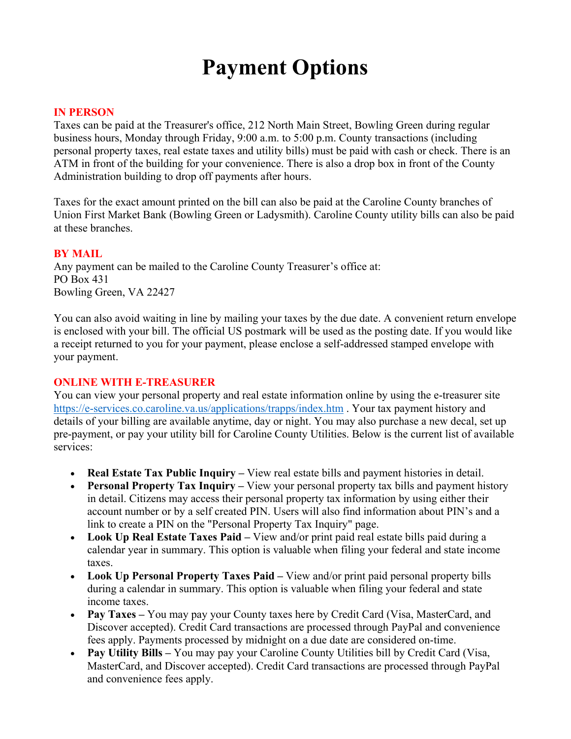# **Payment Options**

#### **IN PERSON**

Taxes can be paid at the Treasurer's office, 212 North Main Street, Bowling Green during regular business hours, Monday through Friday, 9:00 a.m. to 5:00 p.m. County transactions (including personal property taxes, real estate taxes and utility bills) must be paid with cash or check. There is an ATM in front of the building for your convenience. There is also a drop box in front of the County Administration building to drop off payments after hours.

Taxes for the exact amount printed on the bill can also be paid at the Caroline County branches of Union First Market Bank (Bowling Green or Ladysmith). Caroline County utility bills can also be paid at these branches.

#### **BY MAIL**

Any payment can be mailed to the Caroline County Treasurer's office at: PO Box 431 Bowling Green, VA 22427

You can also avoid waiting in line by mailing your taxes by the due date. A convenient return envelope is enclosed with your bill. The official US postmark will be used as the posting date. If you would like a receipt returned to you for your payment, please enclose a self-addressed stamped envelope with your payment.

## **ONLINE WITH E-TREASURER**

You can view your personal property and real estate information online by using the e-treasurer site https://e-services.co.caroline.va.us/applications/trapps/index.htm . Your tax payment history and details of your billing are available anytime, day or night. You may also purchase a new decal, set up pre-payment, or pay your utility bill for Caroline County Utilities. Below is the current list of available services:

- **Real Estate Tax Public Inquiry** View real estate bills and payment histories in detail.
- **Personal Property Tax Inquiry** View your personal property tax bills and payment history in detail. Citizens may access their personal property tax information by using either their account number or by a self created PIN. Users will also find information about PIN's and a link to create a PIN on the "Personal Property Tax Inquiry" page.
- **Look Up Real Estate Taxes Paid –** View and/or print paid real estate bills paid during a calendar year in summary. This option is valuable when filing your federal and state income taxes.
- **Look Up Personal Property Taxes Paid –** View and/or print paid personal property bills during a calendar in summary. This option is valuable when filing your federal and state income taxes.
- **Pay Taxes** You may pay your County taxes here by Credit Card (Visa, MasterCard, and Discover accepted). Credit Card transactions are processed through PayPal and convenience fees apply. Payments processed by midnight on a due date are considered on-time.
- **Pay Utility Bills –** You may pay your Caroline County Utilities bill by Credit Card (Visa, MasterCard, and Discover accepted). Credit Card transactions are processed through PayPal and convenience fees apply.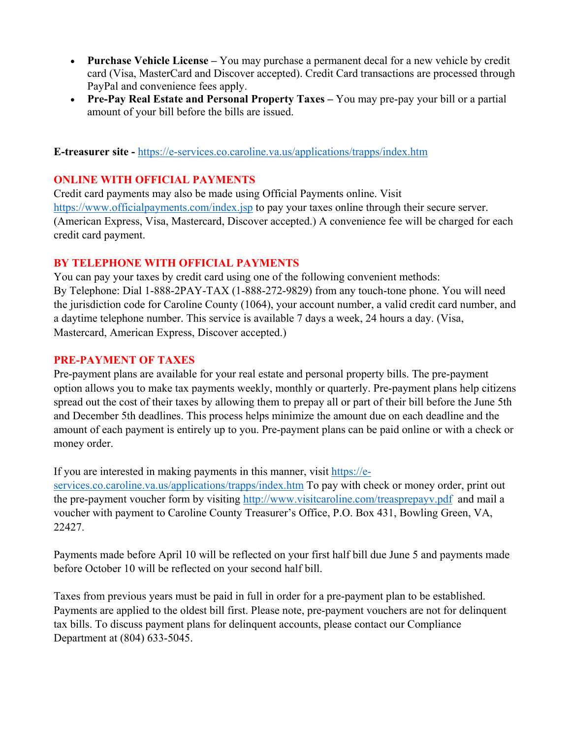- **Purchase Vehicle License –** You may purchase a permanent decal for a new vehicle by credit card (Visa, MasterCard and Discover accepted). Credit Card transactions are processed through PayPal and convenience fees apply.
- **Pre-Pay Real Estate and Personal Property Taxes –** You may pre-pay your bill or a partial amount of your bill before the bills are issued.

**E-treasurer site -** https://e-services.co.caroline.va.us/applications/trapps/index.htm

# **ONLINE WITH OFFICIAL PAYMENTS**

Credit card payments may also be made using Official Payments online. Visit https://www.officialpayments.com/index.jsp to pay your taxes online through their secure server. (American Express, Visa, Mastercard, Discover accepted.) A convenience fee will be charged for each credit card payment.

## **BY TELEPHONE WITH OFFICIAL PAYMENTS**

You can pay your taxes by credit card using one of the following convenient methods: By Telephone: Dial 1-888-2PAY-TAX (1-888-272-9829) from any touch-tone phone. You will need the jurisdiction code for Caroline County (1064), your account number, a valid credit card number, and a daytime telephone number. This service is available 7 days a week, 24 hours a day. (Visa, Mastercard, American Express, Discover accepted.)

## **PRE-PAYMENT OF TAXES**

Pre-payment plans are available for your real estate and personal property bills. The pre-payment option allows you to make tax payments weekly, monthly or quarterly. Pre-payment plans help citizens spread out the cost of their taxes by allowing them to prepay all or part of their bill before the June 5th and December 5th deadlines. This process helps minimize the amount due on each deadline and the amount of each payment is entirely up to you. Pre-payment plans can be paid online or with a check or money order.

If you are interested in making payments in this manner, visit https://e-

services.co.caroline.va.us/applications/trapps/index.htm To pay with check or money order, print out the pre-payment voucher form by visiting http://www.visitcaroline.com/treasprepayv.pdf and mail a voucher with payment to Caroline County Treasurer's Office, P.O. Box 431, Bowling Green, VA, 22427.

Payments made before April 10 will be reflected on your first half bill due June 5 and payments made before October 10 will be reflected on your second half bill.

Taxes from previous years must be paid in full in order for a pre-payment plan to be established. Payments are applied to the oldest bill first. Please note, pre-payment vouchers are not for delinquent tax bills. To discuss payment plans for delinquent accounts, please contact our Compliance Department at (804) 633-5045.